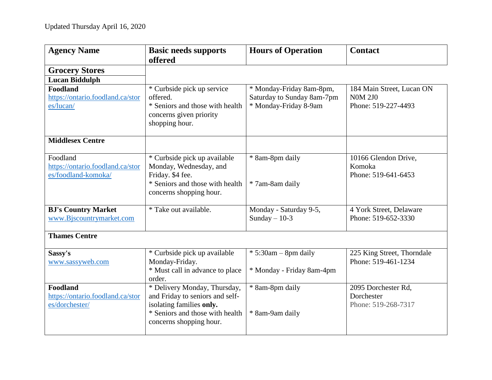| <b>Agency Name</b>               | <b>Basic needs supports</b><br>offered                     | <b>Hours of Operation</b>  | <b>Contact</b>             |
|----------------------------------|------------------------------------------------------------|----------------------------|----------------------------|
| <b>Grocery Stores</b>            |                                                            |                            |                            |
| <b>Lucan Biddulph</b>            |                                                            |                            |                            |
| Foodland                         | * Curbside pick up service                                 | * Monday-Friday 8am-8pm,   | 184 Main Street, Lucan ON  |
| https://ontario.foodland.ca/stor | offered.                                                   | Saturday to Sunday 8am-7pm | <b>N0M 2J0</b>             |
| es/lucan/                        | * Seniors and those with health<br>concerns given priority | * Monday-Friday 8-9am      | Phone: 519-227-4493        |
|                                  | shopping hour.                                             |                            |                            |
| <b>Middlesex Centre</b>          |                                                            |                            |                            |
| Foodland                         | * Curbside pick up available                               | * 8am-8pm daily            | 10166 Glendon Drive,       |
| https://ontario.foodland.ca/stor | Monday, Wednesday, and                                     |                            | Komoka                     |
| es/foodland-komoka/              | Friday. \$4 fee.                                           |                            | Phone: 519-641-6453        |
|                                  | * Seniors and those with health                            | * 7am-8am daily            |                            |
|                                  | concerns shopping hour.                                    |                            |                            |
| <b>BJ's Country Market</b>       | * Take out available.                                      | Monday - Saturday 9-5,     | 4 York Street, Delaware    |
| www.Bjscountrymarket.com         |                                                            | Sunday $-10-3$             | Phone: 519-652-3330        |
| <b>Thames Centre</b>             |                                                            |                            |                            |
| Sassy's                          | * Curbside pick up available                               | $* 5:30am - 8pm$ daily     | 225 King Street, Thorndale |
| www.sassyweb.com                 | Monday-Friday.                                             |                            | Phone: 519-461-1234        |
|                                  | * Must call in advance to place<br>order.                  | * Monday - Friday 8am-4pm  |                            |
| Foodland                         | * Delivery Monday, Thursday,                               | * 8am-8pm daily            | 2095 Dorchester Rd,        |
| https://ontario.foodland.ca/stor | and Friday to seniors and self-                            |                            | Dorchester                 |
| es/dorchester/                   | isolating families only.                                   |                            | Phone: 519-268-7317        |
|                                  | * Seniors and those with health<br>concerns shopping hour. | * 8am-9am daily            |                            |
|                                  |                                                            |                            |                            |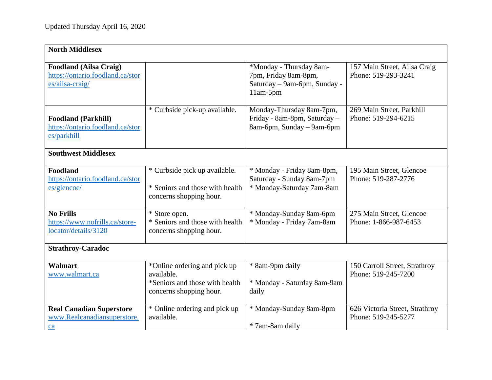| <b>North Middlesex</b>                                                               |                                                                                                         |                                                                                               |                                                       |
|--------------------------------------------------------------------------------------|---------------------------------------------------------------------------------------------------------|-----------------------------------------------------------------------------------------------|-------------------------------------------------------|
| <b>Foodland (Ailsa Craig)</b><br>https://ontario.foodland.ca/stor<br>es/ailsa-craig/ |                                                                                                         | *Monday - Thursday 8am-<br>7pm, Friday 8am-8pm,<br>Saturday - 9am-6pm, Sunday -<br>$11am-5pm$ | 157 Main Street, Ailsa Craig<br>Phone: 519-293-3241   |
| <b>Foodland (Parkhill)</b><br>https://ontario.foodland.ca/stor<br>es/parkhill        | * Curbside pick-up available.                                                                           | Monday-Thursday 8am-7pm,<br>Friday - 8am-8pm, Saturday -<br>8am-6pm, Sunday – 9am-6pm         | 269 Main Street, Parkhill<br>Phone: 519-294-6215      |
| <b>Southwest Middlesex</b>                                                           |                                                                                                         |                                                                                               |                                                       |
| Foodland<br>https://ontario.foodland.ca/stor<br>es/glencoe/                          | * Curbside pick up available.<br>* Seniors and those with health<br>concerns shopping hour.             | * Monday - Friday 8am-8pm,<br>Saturday - Sunday 8am-7pm<br>* Monday-Saturday 7am-8am          | 195 Main Street, Glencoe<br>Phone: 519-287-2776       |
| <b>No Frills</b><br>https://www.nofrills.ca/store-<br>locator/details/3120           | * Store open.<br>* Seniors and those with health<br>concerns shopping hour.                             | * Monday-Sunday 8am-6pm<br>* Monday - Friday 7am-8am                                          | 275 Main Street, Glencoe<br>Phone: 1-866-987-6453     |
| <b>Strathroy-Caradoc</b>                                                             |                                                                                                         |                                                                                               |                                                       |
| <b>Walmart</b><br>www.walmart.ca                                                     | *Online ordering and pick up<br>available.<br>*Seniors and those with health<br>concerns shopping hour. | * 8am-9pm daily<br>* Monday - Saturday 8am-9am<br>daily                                       | 150 Carroll Street, Strathroy<br>Phone: 519-245-7200  |
| <b>Real Canadian Superstore</b><br>www.Realcanadiansuperstore.<br>ca                 | * Online ordering and pick up<br>available.                                                             | * Monday-Sunday 8am-8pm<br>* 7am-8am daily                                                    | 626 Victoria Street, Strathroy<br>Phone: 519-245-5277 |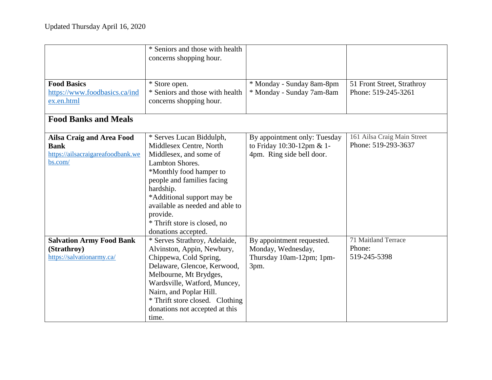|                                                                                                 | * Seniors and those with health<br>concerns shopping hour.                                                                                                                                                                                                                                                 |                                                                                        |                                                    |
|-------------------------------------------------------------------------------------------------|------------------------------------------------------------------------------------------------------------------------------------------------------------------------------------------------------------------------------------------------------------------------------------------------------------|----------------------------------------------------------------------------------------|----------------------------------------------------|
| <b>Food Basics</b><br>https://www.foodbasics.ca/ind<br>ex.en.html                               | * Store open.<br>* Seniors and those with health<br>concerns shopping hour.                                                                                                                                                                                                                                | * Monday - Sunday 8am-8pm<br>* Monday - Sunday 7am-8am                                 | 51 Front Street, Strathroy<br>Phone: 519-245-3261  |
| <b>Food Banks and Meals</b>                                                                     |                                                                                                                                                                                                                                                                                                            |                                                                                        |                                                    |
| <b>Ailsa Craig and Area Food</b><br><b>Bank</b><br>https://ailsacraigareafoodbank.we<br>bs.com/ | * Serves Lucan Biddulph,<br>Middlesex Centre, North<br>Middlesex, and some of<br>Lambton Shores.<br>*Monthly food hamper to<br>people and families facing<br>hardship.<br>*Additional support may be<br>available as needed and able to<br>provide.<br>* Thrift store is closed, no<br>donations accepted. | By appointment only: Tuesday<br>to Friday 10:30-12pm & 1-<br>4pm. Ring side bell door. | 161 Ailsa Craig Main Street<br>Phone: 519-293-3637 |
| <b>Salvation Army Food Bank</b><br>(Strathroy)<br>https://salvationarmy.ca/                     | * Serves Strathroy, Adelaide,<br>Alvinston, Appin, Newbury,<br>Chippewa, Cold Spring,<br>Delaware, Glencoe, Kerwood,<br>Melbourne, Mt Brydges,<br>Wardsville, Watford, Muncey,<br>Nairn, and Poplar Hill.<br>* Thrift store closed. Clothing<br>donations not accepted at this<br>time.                    | By appointment requested.<br>Monday, Wednesday,<br>Thursday 10am-12pm; 1pm-<br>3pm.    | 71 Maitland Terrace<br>Phone:<br>519-245-5398      |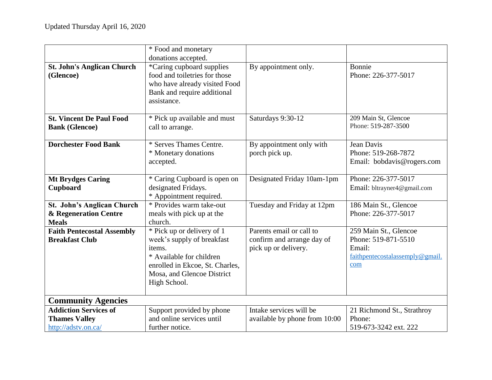|                                   | * Food and monetary             |                               |                                 |
|-----------------------------------|---------------------------------|-------------------------------|---------------------------------|
|                                   | donations accepted.             |                               |                                 |
|                                   |                                 |                               |                                 |
| <b>St. John's Anglican Church</b> | *Caring cupboard supplies       | By appointment only.          | Bonnie                          |
| (Glencoe)                         | food and toiletries for those   |                               | Phone: 226-377-5017             |
|                                   | who have already visited Food   |                               |                                 |
|                                   | Bank and require additional     |                               |                                 |
|                                   | assistance.                     |                               |                                 |
|                                   |                                 |                               |                                 |
| <b>St. Vincent De Paul Food</b>   | * Pick up available and must    | Saturdays 9:30-12             | 209 Main St, Glencoe            |
| <b>Bank (Glencoe)</b>             | call to arrange.                |                               | Phone: 519-287-3500             |
|                                   |                                 |                               |                                 |
| <b>Dorchester Food Bank</b>       | * Serves Thames Centre.         | By appointment only with      | Jean Davis                      |
|                                   | * Monetary donations            | porch pick up.                | Phone: 519-268-7872             |
|                                   | accepted.                       |                               | Email: bobdavis@rogers.com      |
|                                   |                                 |                               |                                 |
| <b>Mt Brydges Caring</b>          | * Caring Cupboard is open on    | Designated Friday 10am-1pm    | Phone: 226-377-5017             |
| Cupboard                          | designated Fridays.             |                               | Email: bltrayner4@gmail.com     |
|                                   | * Appointment required.         |                               |                                 |
| St. John's Anglican Church        | * Provides warm take-out        | Tuesday and Friday at 12pm    | 186 Main St., Glencoe           |
|                                   |                                 |                               |                                 |
| & Regeneration Centre             | meals with pick up at the       |                               | Phone: 226-377-5017             |
| <b>Meals</b>                      | church.                         |                               |                                 |
| <b>Faith Pentecostal Assembly</b> | * Pick up or delivery of 1      | Parents email or call to      | 259 Main St., Glencoe           |
| <b>Breakfast Club</b>             | week's supply of breakfast      | confirm and arrange day of    | Phone: 519-871-5510             |
|                                   | items.                          | pick up or delivery.          | Email:                          |
|                                   | * Available for children        |                               | faithpentecostalassemply@gmail. |
|                                   | enrolled in Ekcoe, St. Charles, |                               | com                             |
|                                   | Mosa, and Glencoe District      |                               |                                 |
|                                   | High School.                    |                               |                                 |
|                                   |                                 |                               |                                 |
| <b>Community Agencies</b>         |                                 |                               |                                 |
| <b>Addiction Services of</b>      | Support provided by phone       | Intake services will be       | 21 Richmond St., Strathroy      |
| <b>Thames Valley</b>              | and online services until       | available by phone from 10:00 | Phone:                          |
| http://adstv.on.ca/               | further notice.                 |                               | 519-673-3242 ext. 222           |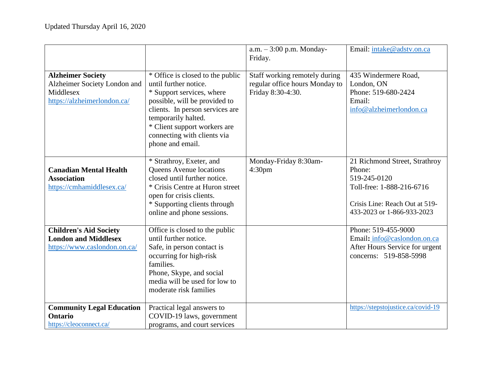|                                                                                                      |                                                                                                                                                                                                                                                                      | $a.m. - 3:00$ p.m. Monday-<br>Friday.                                                | Email: intake@adstv.on.ca                                                                                                                            |
|------------------------------------------------------------------------------------------------------|----------------------------------------------------------------------------------------------------------------------------------------------------------------------------------------------------------------------------------------------------------------------|--------------------------------------------------------------------------------------|------------------------------------------------------------------------------------------------------------------------------------------------------|
| <b>Alzheimer Society</b><br>Alzheimer Society London and<br>Middlesex<br>https://alzheimerlondon.ca/ | * Office is closed to the public<br>until further notice.<br>* Support services, where<br>possible, will be provided to<br>clients. In person services are<br>temporarily halted.<br>* Client support workers are<br>connecting with clients via<br>phone and email. | Staff working remotely during<br>regular office hours Monday to<br>Friday 8:30-4:30. | 435 Windermere Road,<br>London, ON<br>Phone: 519-680-2424<br>Email:<br>info@alzheimerlondon.ca                                                       |
| <b>Canadian Mental Health</b><br><b>Association</b><br>https://cmhamiddlesex.ca/                     | * Strathroy, Exeter, and<br>Queens Avenue locations<br>closed until further notice.<br>* Crisis Centre at Huron street<br>open for crisis clients.<br>* Supporting clients through<br>online and phone sessions.                                                     | Monday-Friday 8:30am-<br>4:30 <sub>pm</sub>                                          | 21 Richmond Street, Strathroy<br>Phone:<br>519-245-0120<br>Toll-free: 1-888-216-6716<br>Crisis Line: Reach Out at 519-<br>433-2023 or 1-866-933-2023 |
| <b>Children's Aid Society</b><br><b>London and Middlesex</b><br>https://www.caslondon.on.ca/         | Office is closed to the public<br>until further notice.<br>Safe, in person contact is<br>occurring for high-risk<br>families.<br>Phone, Skype, and social<br>media will be used for low to<br>moderate risk families                                                 |                                                                                      | Phone: 519-455-9000<br>Email: info@caslondon.on.ca<br>After Hours Service for urgent<br>concerns: 519-858-5998                                       |
| <b>Community Legal Education</b><br><b>Ontario</b><br>https://cleoconnect.ca/                        | Practical legal answers to<br>COVID-19 laws, government<br>programs, and court services                                                                                                                                                                              |                                                                                      | https://stepstojustice.ca/covid-19                                                                                                                   |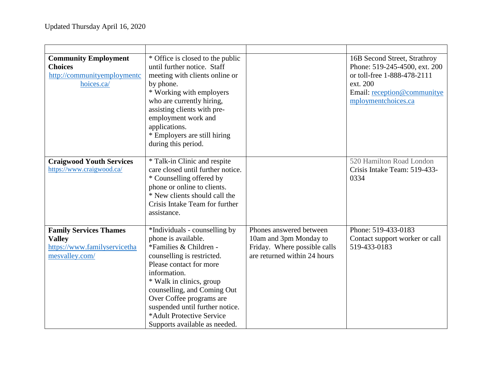| <b>Community Employment</b><br><b>Choices</b><br>http://communityemploymentc<br>hoices.ca/       | * Office is closed to the public<br>until further notice. Staff<br>meeting with clients online or<br>by phone.<br>* Working with employers<br>who are currently hiring,<br>assisting clients with pre-<br>employment work and<br>applications.<br>* Employers are still hiring<br>during this period.                                           |                                                                                                                   | 16B Second Street, Strathroy<br>Phone: 519-245-4500, ext. 200<br>or toll-free 1-888-478-2111<br>ext. 200<br>Email: reception@communitye<br>mploymentchoices.ca |
|--------------------------------------------------------------------------------------------------|-------------------------------------------------------------------------------------------------------------------------------------------------------------------------------------------------------------------------------------------------------------------------------------------------------------------------------------------------|-------------------------------------------------------------------------------------------------------------------|----------------------------------------------------------------------------------------------------------------------------------------------------------------|
| <b>Craigwood Youth Services</b><br>https://www.craigwood.ca/                                     | * Talk-in Clinic and respite<br>care closed until further notice.<br>* Counselling offered by<br>phone or online to clients.<br>* New clients should call the<br>Crisis Intake Team for further<br>assistance.                                                                                                                                  |                                                                                                                   | 520 Hamilton Road London<br>Crisis Intake Team: 519-433-<br>0334                                                                                               |
| <b>Family Services Thames</b><br><b>Valley</b><br>https://www.familyservicetha<br>mesvalley.com/ | *Individuals - counselling by<br>phone is available.<br>*Families & Children -<br>counselling is restricted.<br>Please contact for more<br>information.<br>* Walk in clinics, group<br>counselling, and Coming Out<br>Over Coffee programs are<br>suspended until further notice.<br>*Adult Protective Service<br>Supports available as needed. | Phones answered between<br>10am and 3pm Monday to<br>Friday. Where possible calls<br>are returned within 24 hours | Phone: 519-433-0183<br>Contact support worker or call<br>519-433-0183                                                                                          |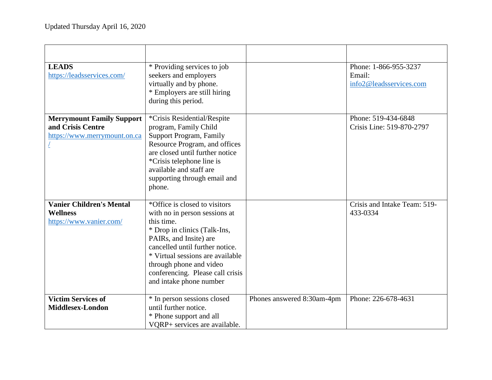| <b>LEADS</b><br>https://leadsservices.com/                                            | * Providing services to job<br>seekers and employers<br>virtually and by phone.<br>* Employers are still hiring<br>during this period.                                                                                                                                                                  |                            | Phone: 1-866-955-3237<br>Email:<br>info2@leadsservices.com |
|---------------------------------------------------------------------------------------|---------------------------------------------------------------------------------------------------------------------------------------------------------------------------------------------------------------------------------------------------------------------------------------------------------|----------------------------|------------------------------------------------------------|
| <b>Merrymount Family Support</b><br>and Crisis Centre<br>https://www.merrymount.on.ca | *Crisis Residential/Respite<br>program, Family Child<br><b>Support Program, Family</b><br>Resource Program, and offices<br>are closed until further notice<br>*Crisis telephone line is<br>available and staff are<br>supporting through email and<br>phone.                                            |                            | Phone: 519-434-6848<br>Crisis Line: 519-870-2797           |
| <b>Vanier Children's Mental</b><br><b>Wellness</b><br>https://www.vanier.com/         | *Office is closed to visitors<br>with no in person sessions at<br>this time.<br>* Drop in clinics (Talk-Ins,<br>PAIRs, and Insite) are<br>cancelled until further notice.<br>* Virtual sessions are available<br>through phone and video<br>conferencing. Please call crisis<br>and intake phone number |                            | Crisis and Intake Team: 519-<br>433-0334                   |
| <b>Victim Services of</b><br>Middlesex-London                                         | * In person sessions closed<br>until further notice.<br>* Phone support and all<br>VQRP+ services are available.                                                                                                                                                                                        | Phones answered 8:30am-4pm | Phone: 226-678-4631                                        |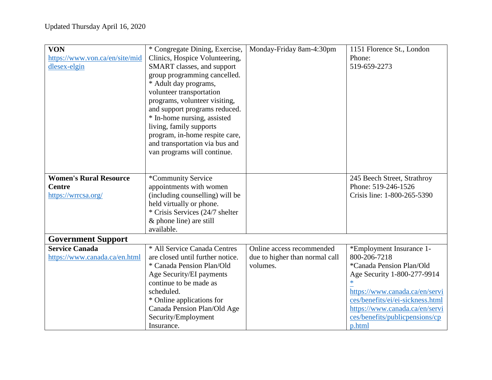| <b>VON</b>                     | * Congregate Dining, Exercise,   | Monday-Friday 8am-4:30pm       | 1151 Florence St., London        |
|--------------------------------|----------------------------------|--------------------------------|----------------------------------|
| https://www.von.ca/en/site/mid | Clinics, Hospice Volunteering,   |                                | Phone:                           |
| dlesex-elgin                   | SMART classes, and support       |                                | 519-659-2273                     |
|                                | group programming cancelled.     |                                |                                  |
|                                | * Adult day programs,            |                                |                                  |
|                                | volunteer transportation         |                                |                                  |
|                                | programs, volunteer visiting,    |                                |                                  |
|                                | and support programs reduced.    |                                |                                  |
|                                | * In-home nursing, assisted      |                                |                                  |
|                                | living, family supports          |                                |                                  |
|                                | program, in-home respite care,   |                                |                                  |
|                                | and transportation via bus and   |                                |                                  |
|                                | van programs will continue.      |                                |                                  |
|                                |                                  |                                |                                  |
|                                |                                  |                                |                                  |
| <b>Women's Rural Resource</b>  | *Community Service               |                                | 245 Beech Street, Strathroy      |
| <b>Centre</b>                  | appointments with women          |                                | Phone: 519-246-1526              |
| https://wrrcsa.org/            | (including counselling) will be  |                                | Crisis line: 1-800-265-5390      |
|                                | held virtually or phone.         |                                |                                  |
|                                | * Crisis Services (24/7 shelter  |                                |                                  |
|                                | & phone line) are still          |                                |                                  |
|                                | available.                       |                                |                                  |
| <b>Government Support</b>      |                                  |                                |                                  |
| <b>Service Canada</b>          | * All Service Canada Centres     | Online access recommended      | *Employment Insurance 1-         |
| https://www.canada.ca/en.html  | are closed until further notice. | due to higher than normal call | 800-206-7218                     |
|                                | * Canada Pension Plan/Old        | volumes.                       | *Canada Pension Plan/Old         |
|                                | Age Security/EI payments         |                                | Age Security 1-800-277-9914      |
|                                | continue to be made as           |                                | $\ast$                           |
|                                | scheduled.                       |                                | https://www.canada.ca/en/servi   |
|                                | * Online applications for        |                                | ces/benefits/ei/ei-sickness.html |
|                                | Canada Pension Plan/Old Age      |                                | https://www.canada.ca/en/servi   |
|                                | Security/Employment              |                                | ces/benefits/publicpensions/cp   |
|                                | Insurance.                       |                                | p.html                           |